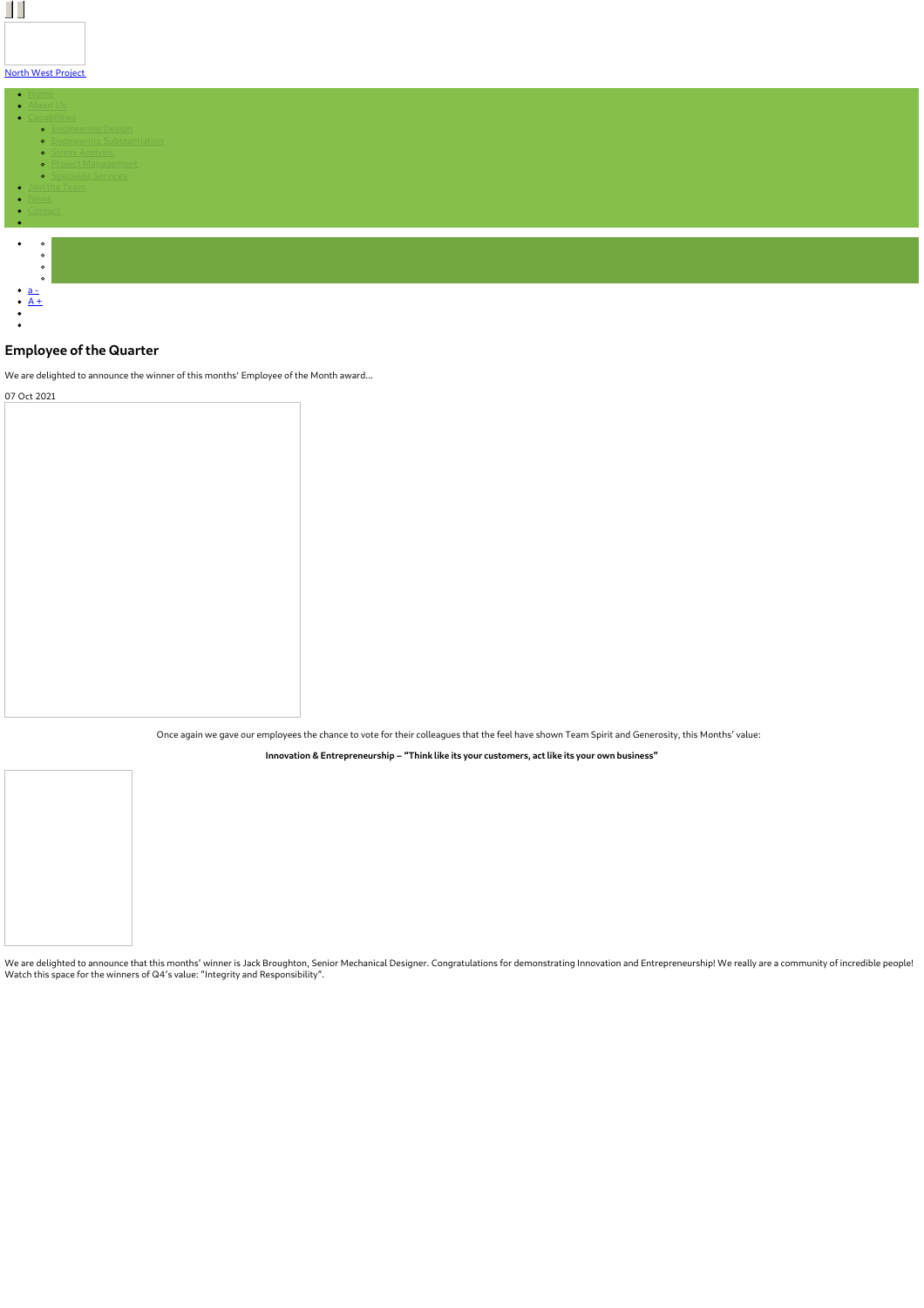| <b>North West Project</b>                            |  |  |
|------------------------------------------------------|--|--|
|                                                      |  |  |
| $\bullet$ Home                                       |  |  |
| · About Us                                           |  |  |
| · Capabilities<br><b>•</b> <u>Engineering Design</u> |  |  |
| • Engineering Substantiation                         |  |  |
| <b>•</b> Stress Analysis                             |  |  |
| • <u>Project Management</u>                          |  |  |
| <b>•</b> Specialist Services                         |  |  |
| $\bullet$ Join the Team                              |  |  |
| · <u>News</u>                                        |  |  |
| • Contact                                            |  |  |
| $\bullet$ .                                          |  |  |
|                                                      |  |  |
| $\bullet$<br>$\circ$                                 |  |  |
| $\circ$                                              |  |  |
| $\circ$                                              |  |  |
| $\circ$                                              |  |  |
| $\bullet$ <u>a</u> –<br>$\bullet$ A +                |  |  |
|                                                      |  |  |
|                                                      |  |  |
|                                                      |  |  |

## **Employee of the Quarter**

 $\Box$ 

We are delighted to announce the winner of this months' Employee of the Month award... 07 Oct 2021

Once again we gave our employees the chance to vote for their colleagues that the feel have shown Team Spirit and Generosity, this Months' value:

**Innovation & Entrepreneurship – "Think like its your customers, act like its your own business"**

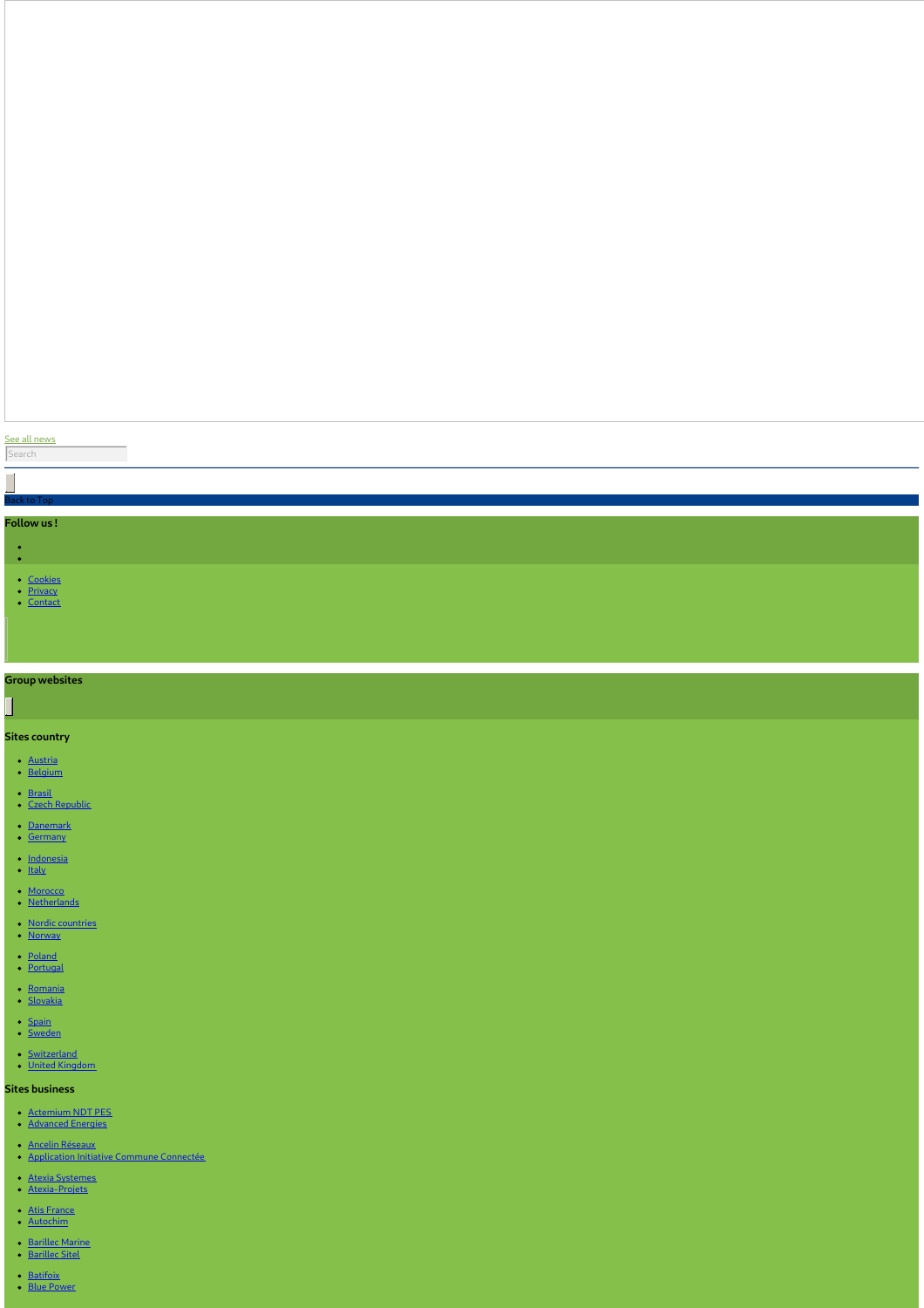#### See all [news](https://www.northwestprojects.co.uk/news/)

#### Search

 $\overline{\phantom{a}}$ 

## Back to Top

#### **Follow us !**

- $\frac{1}{2}$ 
	-
	- <u>[Cookies](https://www.northwestprojects.co.uk/cookies/)</u><br>[Privacy](https://www.northwestprojects.co.uk/privacy/)<br>[Contact](https://www.northwestprojects.co.uk/contact/)
	-

### **Group websites**

# 

#### **Sites country**

- <u>[Austria](http://www.vinci-energies.at/)</u><br>[Belgium](http://www.vinci-energies.be/)
- 
- <u>[Brasil](http://www.vinci-energies.com.br/en/home/)</u><br>Czech [Republic](http://www.vinci-energies.cz/)
- 
- <u>[Danemark](http://www.vinci-energies.dk/)</u><br>[Germany](http://www.vinci-energies.de/)
- 
- [Indonesia](http://www.vinci-energies.co.id/)<br>[Italy](http://www.vinci-energies.it/)
- 
- <u>[Morocco](http://www.vinci-energies.ma/)</u><br>[Netherlands](http://www.vinci-energies.nl/)
- <u>Nordic [countries](http://www.vinci-energies.dk/)</u><br>Norwa<u>y</u>
- 
- <u>[Poland](http://www.vinci-energies.pl)</u><br>[Portugal](http://www.vinci-energies.pt/)
- 
- [Romania](http://www.vinci-energies.ro/) [Slovakia](http://www.vinci-energies.sk/)
- [Spain](http://www.vinci-energies.es/)<br>[Sweden](http://www.vinci-energies.se/)
- 
- [Switzerland](http://www.vinci-energies.ch/)<br>United [Kingdom](http://www.vinci-energies.co.uk/)

#### **Sites business**

- [Actemium](https://www.cegelec-ndt-pes.com) NDT PES<br>[Advanced](http://www.advanced-energies.com/) Energies
- 
- 
- Ancelin [Réseaux](http://www.ancelinreseaux.fr/)<br>[Application](https://www.applications-icc.fr) Initiative Commune Connectée
- <u>Atexia [Systemes](https://www.atexia-systemes.fr/)</u><br>[Atexia-Projets](https://www.atexia-projets.fr/)
- 
- Atis [France](https://www.atis-france.fr)<br>[Autochim](http://www.autochim.com/fr/)
- 
- [Barillec](http://www.barillec-sitel.fr) Marine<br>Barillec Sitel
- <mark>[Batifoix](https://www.batifoix.fr)</mark><br>Blue [Power](https://www.blue-power.it/)
-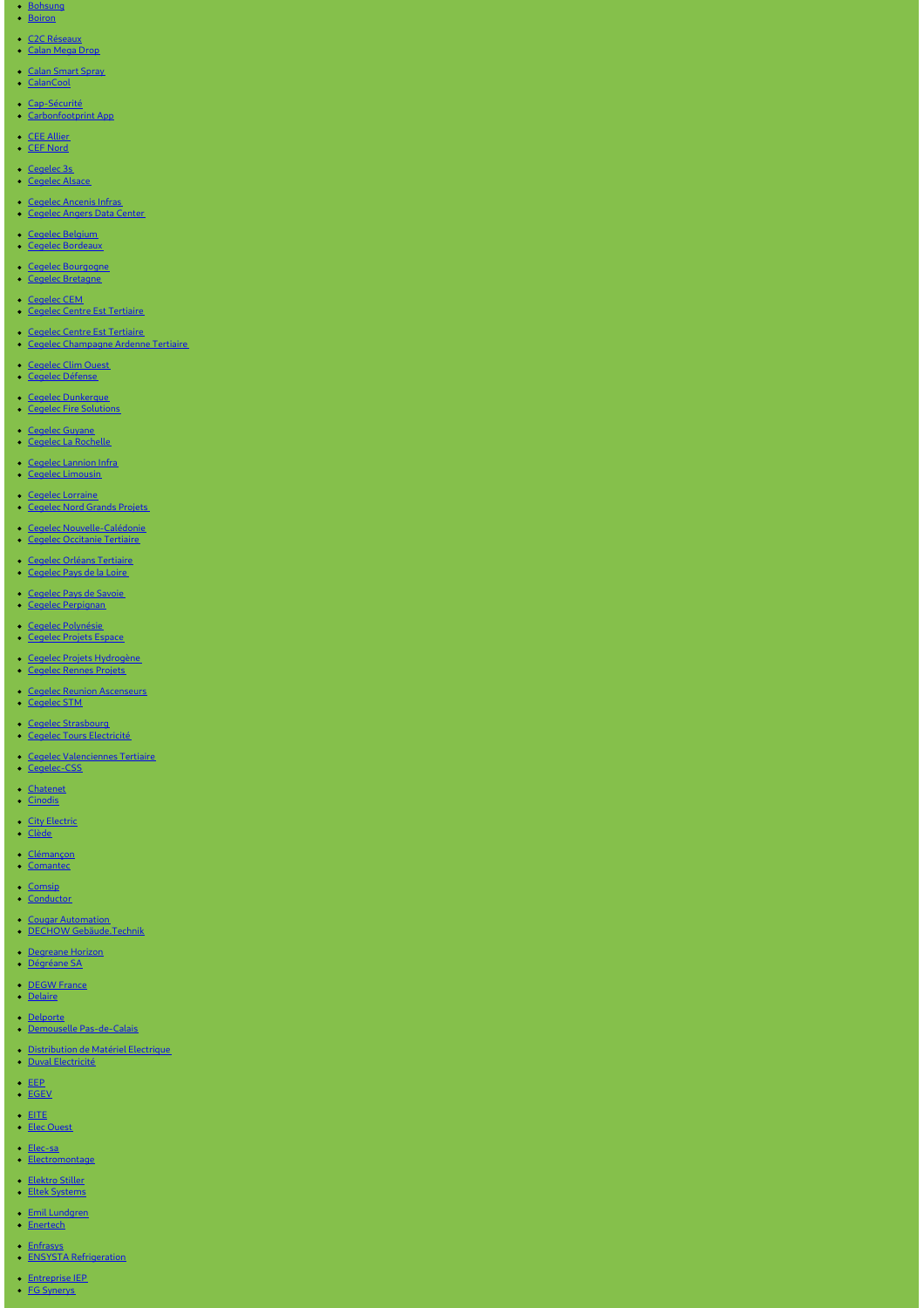- <u>[Bohsung](https://www.bohsung.de/)</u><br>[Boiron](https://www.sas-boiron.com)
- <u>C2C [Réseaux](https://www.c2c-reseaux.fr)</u><br>[Calan](https://www.calanmegadrop.de/) Mega Dro<u>p</u>
- 
- <mark>Calan [Smart](https://www.calansmartspray.de/) Spray</mark><br>[CalanCool](https://www.calancool.de/)
- 
- <u>[Cap-Sécurité](https://www.capsecurite.com/)</u><br>[Carbonfootprint](https://www.carbonfootprintapp.de/) Ap<u>p</u>
- 
- <u>CEE [Allier](http://www.ceeallier.fr/)</u><br>CEF [Nord](https://www.cefnord.com)
- 
- <mark>[Cegelec](https://www.cegelec-alsace.com) 3s</mark><br>Cegelec Alsace
- 
- <u>[Cegelec](http://www.cegelec-angers-data-center.fr/) Ancenis Infras</u><br><u>Cegelec Angers Data Center</u>
- Cegelec [Belgium](http://www.cegelec.be/) Cegelec [Bordeaux](https://www.cegelec-bordeaux.fr)
- 
- <u>Cegelec [Bourgogne](https://www.cegelec-bourgogne.com)</u><br><u>Cegelec [Bretagne](http://www.cegelec-bretagne.fr/fr/)</u>
- 
- <u>[Cegelec](https://www.cegelec-cem.fr/) CEM</u><br><u>Cegelec Centre Est [Tertiaire](http://www.cegelec-lyon.com/)</u>
- <u>Cegelec Centre Est [Tertiaire](https://www.cegelec-centre-est-tertiaire.fr/)</u><br><u>Cegelec [Champagne](https://www.cegelec-champagne-ardenne-tertiaire.com) Ardenne Tertiaire</u>
- 
- <u>[Cegelec](http://www.cegelec-clim-ouest.fr/fr/) Clim Ouest</u><br>Cegelec [Défense](http://www.cegelec-defense.com)
- 
- <u>Cegelec [Dunkerque](https://www.cegelec-dunkerque.com)</u><br>Cegelec Fire [Solutions](http://www.cegelec.nl)
- <u>[Cegelec](https://www.cegelec-guyane.fr) Guyane</u><br>Cegelec La [Rochelle](https://www.cegelec-la-rochelle.fr)
- 
- <u>Cegelec [Lannion](https://www.cegelec-lannion-infras.fr/) Infra</u><br>Cegelec [Limousin](http://www.cegelec-limousin.fr/)
- <u>Cegelec [Lorraine](https://www.cegelec-lorraine.com)</u><br>[Cegelec](http://www.cegelec-nord-grands-projets.com) Nord Grands Projets
- 
- <u>Cegelec [Nouvelle-Calédonie](https://www.cegelec.nc)</u><br><u>Cegelec [Occitanie](https://www.cegelec-occitanie-tertiaire.fr/) Tertiaire</u>
- 
- <u>Cegelec Orléans [Tertiaire](https://cegelec-orleans-tertiaire.fr)</u><br>[Cegelec](http://www.cegelec-pays-de-la-loire.fr) Pays de la Loire
- <u>[Cegelec](https://www.cegelec-pays-de-savoie.fr/) Pays de Savoie </u><br>Cegelec [Perpignan](https://www.cegelec-perpignan.com)
- 
- <u>Cegelec [Polynésie](http://www.cegelec-polynesie.com)</u><br>[Cegelec](http://www.cegelec-projets-espace.com/) Projets Espace
- <u>Cegelec Projets [Hydrogène](https://www.cegelec-projets-hydrogene.fr)</u><br>[Cegelec](https://www.cegelec-rennes-projets.fr/) Rennes Projets
- <u>Cegelec Reunion [Ascenseurs](https://www.cegelec-reunion-ascenseurs.com)</u><br>[Cegelec](https://www.cegelec-stm.fr/) STM
- 
- <u>Cegelec [Strasbourg](http://www.cegelec-strasbourg.fr/)</u><br>Cegelec Tours [Electricité](https://www.cegelec-tours-electricite.fr/)
- <u>Cegelec [Valenciennes](http://www.cegelec-valenciennes-tertiaire.com/) Tertiaire</u><br>[Cegelec-CSS](https://www.cegelec-css.com/)
- 
- <u>[Chatenet](https://www.chatenet-sas.fr)</u><br>[Cinodis](https://www.cinodis.fr/)
- <u>City [Electric](https://www.city-electric.lu)</u><br>[Clède](https://www.clede.fr)
- 
- <u>[Clémançon](https://www.clemancon.fr)</u><br>[Comantec](https://www.comantec.be/)
- <u>[Comsip](http://www.comsip.fr/en/)</u><br>[Conductor](https://www.conductor.as/)
- 
- <u>Cougar [Automation](https://www.cougar-automation.com/)</u><br>DECHOW [Gebäude.Technik](https://www.dechow-dl-gmbh.de/)
- 
- <u>[Degreane](http://www.degreane-horizon.fr) Horizon</u><br>[Dégréane](https://www.degreane.fr/) SA
- 
- [DEGW](https://www.degwfrance.com/) France<br>[Delaire](https://www.sas-delaire.fr/)
- 
- <u>[Delporte](https://www.delporte.fr/)</u><br>Demouselle [Pas-de-Calais](https://www.demouselle-pas-de-calais.fr)
- [Distribution](https://www.dme-energies.com) de Matériel Electrique<br>Duval [Electricité](https://duval-electricite.fr/)
- 
- <u>[EEP](https://www.eep.fr)</u><br>[EGEV](https://www.egev.fr/)
- 
- [EITE](https://www.eite-entreprises.fr/) Elec [Ouest](http://www.elec-ouest.fr)
- 
- <mark>[Elec-sa](https://www.elec-sa.fr/)</mark><br>[Electromontage](https://www.electromontage.fr/)
- 
- [Elektro](https://www.elektro-stiller.de) Stiller Eltek [Systems](https://www.eltek-systems.com/)
- Emil [Lundgren](https://www.emillundgren.se/) [Enertech](https://www.enertech-eut.de/)
- 
- [Enfrasys](https://www.enfrasys.fr/) ENSYSTA [Refrigeration](http://www.ensysta.be/nl/)
- [Entreprise](http://www.i-e-p.fr) IEP FG [Synerys](https://www.fgsynerys.fr)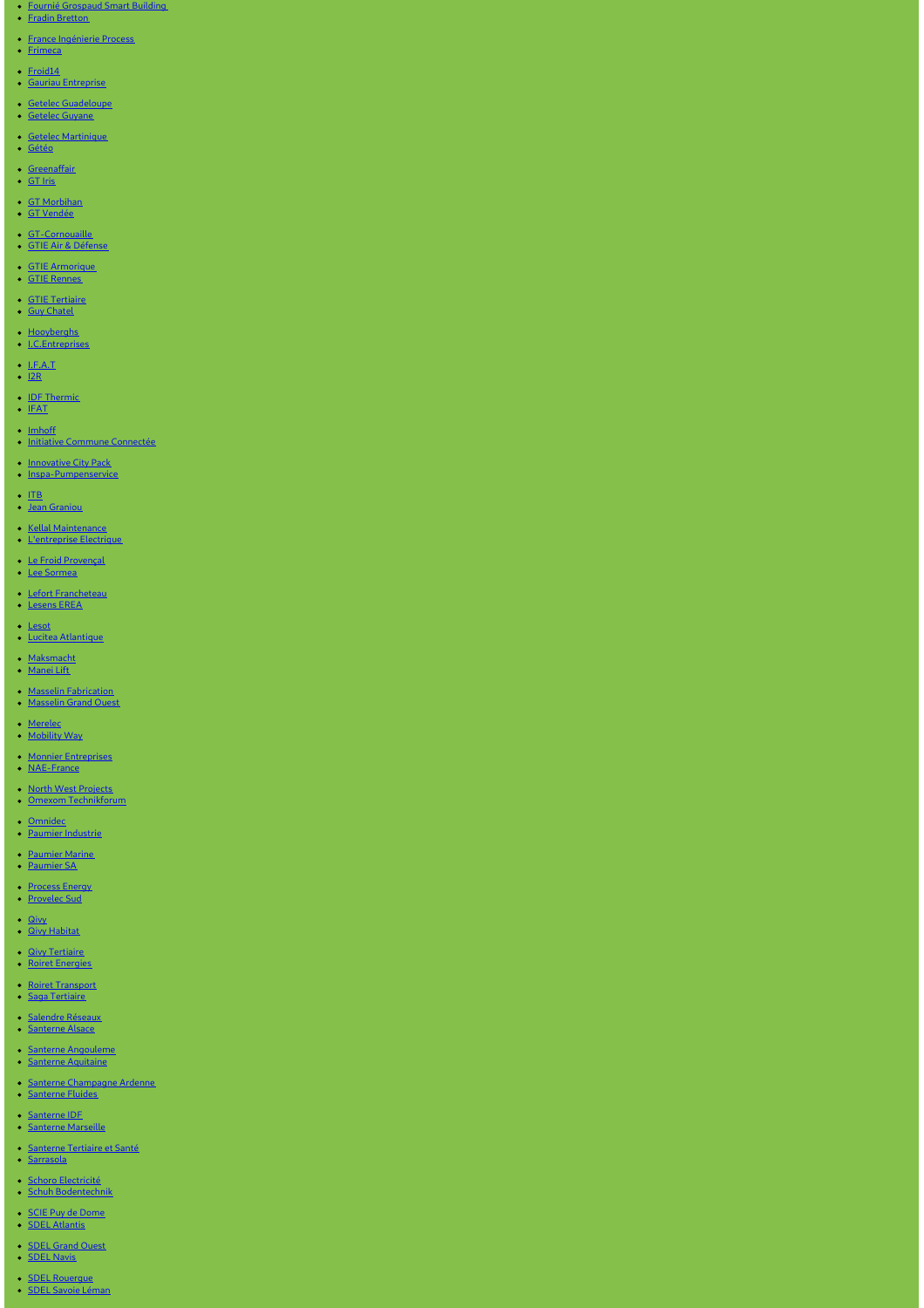- Fournié [Grospaud](https://www.fgtlse.fr) Smart Building Fradin [Bretton](http://www.fradin-bretton.fr/)
- 
- 
- France [Ingénierie](https://www.france-ingenierie-process.com/) Process [Frimeca](https://www.frimeca.com/)
- 
- <u>[Froid14](http://www.froid14.com/)</u><br>Gauriau [Entreprise](http://www.gauriau-entreprise.fr/)
- 
- <u>Getelec [Guadeloupe](http://www.getelec-guadeloupe.fr/)</u><br>[Getelec](https://www.getelec-guyane.fr/) Guyane
- 
- 
- <u>Getelec [Martinique](https://www.getelec-martinique.fr)</u><br>[Gétéo](https://www.geteo.fr/)
- 
- <u>[Greenaffair](https://www.greenaffair.com)</u><br>[GT](http://www.gt-iris.fr/) Iri<u>s</u>
- GT [Morbihan](https://www.gt-morbihan.com) • GT [Vendée](http://www.gt-vendee.fr/)
- 
- <u>[GT-Cornouaille](https://www.gt-cornouaille.fr/)</u><br>GTIE Air & [Défense](https://www.gtie-airetdefense.fr)
- 
- <u>GTIE [Armorique](https://www.gtie-armorique.com)</u><br>GTIE [Rennes](http://www.gtie-rennes.com/)
- 
- <u>GTIE [Tertiaire](https://www.gtie-tertiaire.com/)</u><br>Guy [Chatel](http://guy-chatel.fr/)
- 
- [Hooyberghs](https://www.hooyberghs.be/) [I.C.Entreprises](http://www.ic-entreprises.com/)
- <u>[I.F.A.T](https://www.ifat.fr)</u><br><u>[I2R](http://www.i2r-ingenierie.com/)</u>
- 
- <u>IDF [Thermic](http://www.idf-thermic.com/)</u><br>[IFAT](https://www.ifat.fr/)
- 
- <u>[Imhoff](https://www.imhoff.fr)</u><br>Initiative Commune [Connectée](https://www.initiativecommuneconnectee.fr)
- 
- [Innovative](https://www.icpack.fr) City Pack [Inspa-Pumpenservice](https://www.inspa-pumpenservice.de/)
- <u>[ITB](https:)</u><br>Jean [Graniou](https://www.jeangraniou.fr/)
- 
- Kellal [Maintenance](https://www.kellal-maintenance.fr/) [L'entreprise](http://www.lentreprise-electrique.fr/) Electrique
- 
- Le Froid [Provençal](https://www.lefroidprovencal.fr) Lee [Sormea](https://www.lee-sormea.com)
- 
- Lefort [Francheteau](https://www.lefortfrancheteau.com/) [Lesens](https://www.lesens-erea.fr/) EREA
- 
- <u>[Lesot](https://www.lesot.fr)</u><br>Lucitea [Atlantique](http://www.lucitea-atlantique.fr)
- <u>[Maksmacht](https://www.maksmacht.de/)</u><br>[Manei](https://www.manei-lift.fr) Lift
- 
- <u>Masselin [Fabrication](http://masselin-fabrication.fr/)</u><br>[Masselin](http://www.masselin-grand-ouest.fr/) Grand Ouest
- 
- <u>[Merelec](https://www.merelec.fr)</u><br>[Mobility](https://www.mobility-way.com) Wa<u>y</u>
- 
- Monnier [Entreprises](http://www.monnier-energies.com/)<br>[NAE-France](https://www.nae-france.com/)
- <u>North West [Projects](https://www.northwestprojects.co.uk/)</u><br>Omexom [Technikforum](https://www.omexom-technikforum.de)
- 
- <u>[Omnidec](https://www.omnidec.com/)</u><br>Paumier [Industrie](https://www.paumier-industrie.fr)
- 
- [Paumier](https://www.paumier-marine.fr) Marine [Paumier](https://www.paumier-sa.fr) SA
- 
- [Process](http://www.process-energy.fr) Energy [Provelec](https://www.provelec-sud.fr) Sud
- 
- <u>[Qivy](http://www.qivy.fr/fr/)</u><br>Qivy [Habitat](https://www.qivy-habitat.fr)
- 
- <u>Qivy [Tertiaire](https://www.qivy-tertiaire.fr)</u><br>Roiret [Energies](https://www.roiret-energies.com/)
- Roiret [Transport](http://www.roiret-transport.fr/) Saga [Tertiaire](http://www.saga-tertiaire.fr/)
- 
- [Salendre](https://www.salendre.com/) Réseaux [Santerne](https://www.santerne-alsace.fr) Alsace
- 
- Santerne [Angouleme](http://www.santerne-angouleme.fr/) Santerne [Aquitaine](https://www.santerne-aquitaine.fr/)
- 
- Santerne [Champagne](https://www.santerne-champagne-ardenne.fr) Ardenne [Santerne](https://www.santerne-fluides.fr) Fluides
- 
- [Santerne](https://www.santerne-idf.fr) IDF Santerne [Marseille](https://www.santerne-marseille.com/)
- 
- [Santerne](https://www.santerne-tertiaire-sante.fr) Tertiaire et Santé [Sarrasola](https://www.sarrasola.com/)
- Schoro [Electricité](http://www.schoro.fr/site/presentation.htm) Schuh [Bodentechnik](https://www.schuh-bodentechnik.de)
- SCIE Puy de [Dome](http://www.scie-pdd.com/) SDEL [Atlantis](https://www.sdel-atlantis.fr/)
- 
- SDEL [Grand](http://www.sdel-grand-ouest.fr/) Ouest SDEL [Navis](https://www.sdel-navis.fr)
- SDEL [Rouergue](https://www.sdel-rouergue.fr/) SDEL Savoie [Léman](https://www.sdel-savoie-leman.fr/)
-